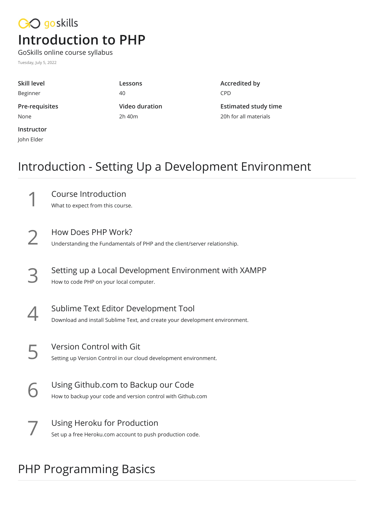## CO goskills **Introduction to PHP**

GoSkills online course syllabus Tuesday, July 5, 2022

John Elder

**Skill level** Beginner **Lessons** 40 **Pre-requisites** None **Video duration** 2h 40m **Instructor**

**Accredited by** CPD

**Estimated study time** 20h for all materials

#### Introduction - Setting Up a Development Environment

Course Introduction<br>What to expect from this course.

How Does PHP Work?<br>2 Understanding the Fundamentals of PHP and the client/server relationship.

Setting up a Local Development Environment with XAMPP<br>How to code PHP on your local computer.

- Sublime Text Editor Development Tool<br>Download and install Sublime Text, and create your development environment.
- Version Control with Git<br>Setting up Version Control in our cloud development environment.
- Using Github.com to Backup our Code<br>6 How to backup your code and version control with Github.com
- Using Heroku for Production<br>Set up a free Heroku.com account to push production code.

## PHP Programming Basics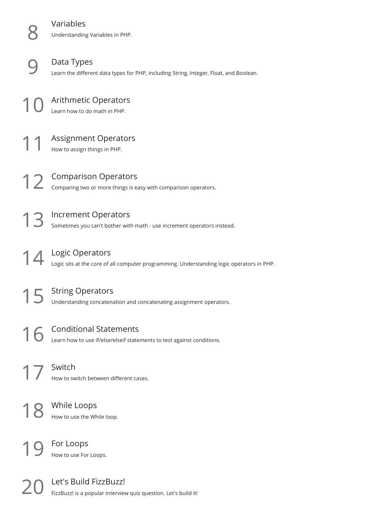**Variables**<br>**Understanding Variables in PHP.** 

Data Types<br>Learn the different data types for PHP, including String, Integer, Float, and Boolean.

Arithmetic Operators<br>Learn how to do math in PHP.

Assignment Operators<br>How to assign things in PHP.

Comparison Operators<br>12 Comparing two or more things is easy with comparison operators.

Increment Operators<br>13 Sometimes you can't bother with math - use increment operators instead.

Logic Operators<br>14 Logic sits at the core of all computer programming. Understanding logic operators in PHP.

String Operators<br>15 Understanding concatenation and concatenating assignment operators.

Conditional Statements<br>Learn how to use if/else/elseif statements to test against conditions.

**Switch**<br>How to switch between different cases.

While Loops<br>How to use the While loop.

For Loops<br>How to use For Loops.

Let's Build FizzBuzz!<br>FizzBuzz! is a popular interview quiz question. Let's build it!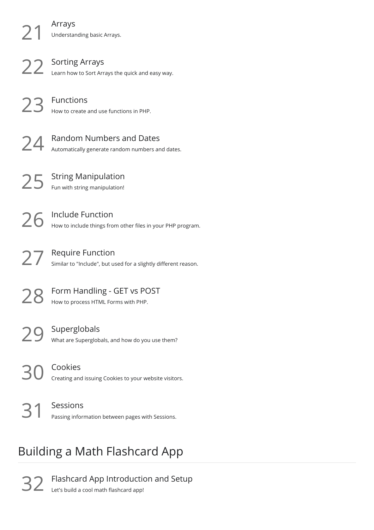**Arrays**<br>21 Understanding basic Arrays.

22 Sorting Arrays<br>22 Learn how to Sort Arrays the quick and easy way.

Functions<br>How to create and use functions in PHP.

Random Numbers and Dates<br>24 Automatically generate random numbers and dates.

String Manipulation<br>Fun with string manipulation!

26 Include Function<br>26 How to include things from other files in your PHP program.

27 Require Function<br>27 Similar to "Include", but used for a slightly different reason.

**28** Form Handling - GET vs POST<br>Now to process HTML Forms with PHP.

Superglobals<br>
29 What are Superglobals, and how do you use them?

Cookies<br>30 Creating and issuing Cookies to your website visitors.

Sessions<br>
Passing information between pages with Sessions.

# Building a Math Flashcard App

Flashcard App Introduction and Setup<br>Let's build a cool math flashcard app!